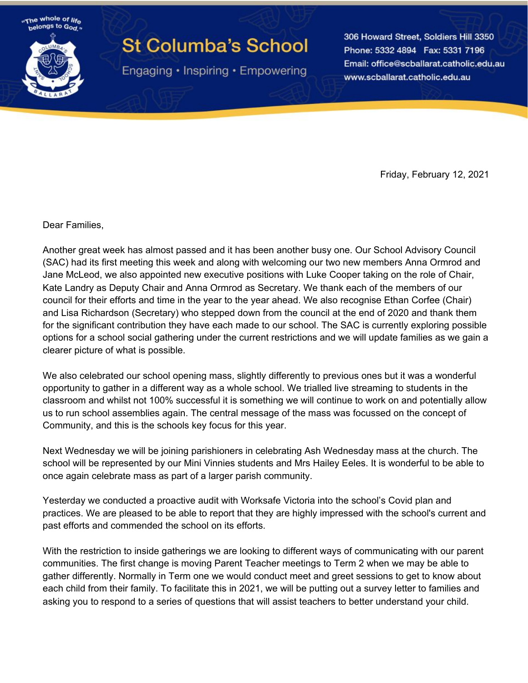"The whole of life" helongs to God

## **St Columba's School**

Engaging • Inspiring • Empowering

306 Howard Street, Soldiers Hill 3350 Phone: 5332 4894 Fax: 5331 7196 Email: office@scballarat.catholic.edu.au www.scballarat.catholic.edu.au

Friday, February 12, 2021

Dear Families,

Another great week has almost passed and it has been another busy one. Our School Advisory Council (SAC) had its first meeting this week and along with welcoming our two new members Anna Ormrod and Jane McLeod, we also appointed new executive positions with Luke Cooper taking on the role of Chair, Kate Landry as Deputy Chair and Anna Ormrod as Secretary. We thank each of the members of our council for their efforts and time in the year to the year ahead. We also recognise Ethan Corfee (Chair) and Lisa Richardson (Secretary) who stepped down from the council at the end of 2020 and thank them for the significant contribution they have each made to our school. The SAC is currently exploring possible options for a school social gathering under the current restrictions and we will update families as we gain a clearer picture of what is possible.

We also celebrated our school opening mass, slightly differently to previous ones but it was a wonderful opportunity to gather in a different way as a whole school. We trialled live streaming to students in the classroom and whilst not 100% successful it is something we will continue to work on and potentially allow us to run school assemblies again. The central message of the mass was focussed on the concept of Community, and this is the schools key focus for this year.

Next Wednesday we will be joining parishioners in celebrating Ash Wednesday mass at the church. The school will be represented by our Mini Vinnies students and Mrs Hailey Eeles. It is wonderful to be able to once again celebrate mass as part of a larger parish community.

Yesterday we conducted a proactive audit with Worksafe Victoria into the school's Covid plan and practices. We are pleased to be able to report that they are highly impressed with the school's current and past efforts and commended the school on its efforts.

With the restriction to inside gatherings we are looking to different ways of communicating with our parent communities. The first change is moving Parent Teacher meetings to Term 2 when we may be able to gather differently. Normally in Term one we would conduct meet and greet sessions to get to know about each child from their family. To facilitate this in 2021, we will be putting out a survey letter to families and asking you to respond to a series of questions that will assist teachers to better understand your child.